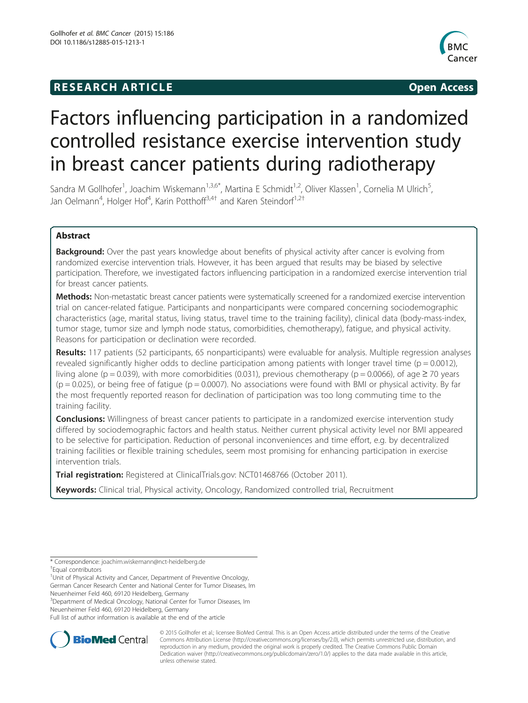## **RESEARCH ARTICLE Example 2014 CONSIDERING CONSIDERING CONSIDERING CONSIDERING CONSIDERING CONSIDERING CONSIDERING CONSIDERING CONSIDERING CONSIDERING CONSIDERING CONSIDERING CONSIDERING CONSIDERING CONSIDERING CONSIDE**



# Factors influencing participation in a randomized controlled resistance exercise intervention study in breast cancer patients during radiotherapy

Sandra M Gollhofer<sup>1</sup>, Joachim Wiskemann<sup>1,3,6\*</sup>, Martina E Schmidt<sup>1,2</sup>, Oliver Klassen<sup>1</sup>, Cornelia M Ulrich<sup>5</sup> , Jan Oelmann<sup>4</sup>, Holger Hof<sup>4</sup>, Karin Potthoff<sup>3,4†</sup> and Karen Steindorf<sup>1,2†</sup>

## Abstract

**Background:** Over the past years knowledge about benefits of physical activity after cancer is evolving from randomized exercise intervention trials. However, it has been argued that results may be biased by selective participation. Therefore, we investigated factors influencing participation in a randomized exercise intervention trial for breast cancer patients.

**Methods:** Non-metastatic breast cancer patients were systematically screened for a randomized exercise intervention trial on cancer-related fatigue. Participants and nonparticipants were compared concerning sociodemographic characteristics (age, marital status, living status, travel time to the training facility), clinical data (body-mass-index, tumor stage, tumor size and lymph node status, comorbidities, chemotherapy), fatigue, and physical activity. Reasons for participation or declination were recorded.

Results: 117 patients (52 participants, 65 nonparticipants) were evaluable for analysis. Multiple regression analyses revealed significantly higher odds to decline participation among patients with longer travel time ( $p = 0.0012$ ), living alone (p = 0.039), with more comorbidities (0.031), previous chemotherapy (p = 0.0066), of age  $\geq$  70 years  $(p = 0.025)$ , or being free of fatigue ( $p = 0.0007$ ). No associations were found with BMI or physical activity. By far the most frequently reported reason for declination of participation was too long commuting time to the training facility.

**Conclusions:** Willingness of breast cancer patients to participate in a randomized exercise intervention study differed by sociodemographic factors and health status. Neither current physical activity level nor BMI appeared to be selective for participation. Reduction of personal inconveniences and time effort, e.g. by decentralized training facilities or flexible training schedules, seem most promising for enhancing participation in exercise intervention trials.

**Trial registration:** Registered at ClinicalTrials.gov: [NCT01468766](https://www.clinicaltrials.gov/ct2/show/NCT01468766?term=NCT01468766&rank=1) (October 2011).

Keywords: Clinical trial, Physical activity, Oncology, Randomized controlled trial, Recruitment

\* Correspondence: [joachim.wiskemann@nct-heidelberg.de](mailto:joachim.wiskemann@nct-heidelberg.de) †

Equal contributors

<sup>1</sup>Unit of Physical Activity and Cancer, Department of Preventive Oncology, German Cancer Research Center and National Center for Tumor Diseases, Im

Neuenheimer Feld 460, 69120 Heidelberg, Germany <sup>3</sup>Department of Medical Oncology, National Center for Tumor Diseases, Im

Neuenheimer Feld 460, 69120 Heidelberg, Germany

Full list of author information is available at the end of the article



© 2015 Gollhofer et al.; licensee BioMed Central. This is an Open Access article distributed under the terms of the Creative Commons Attribution License [\(http://creativecommons.org/licenses/by/2.0\)](http://creativecommons.org/licenses/by/2.0), which permits unrestricted use, distribution, and reproduction in any medium, provided the original work is properly credited. The Creative Commons Public Domain Dedication waiver [\(http://creativecommons.org/publicdomain/zero/1.0/](http://creativecommons.org/publicdomain/zero/1.0/)) applies to the data made available in this article, unless otherwise stated.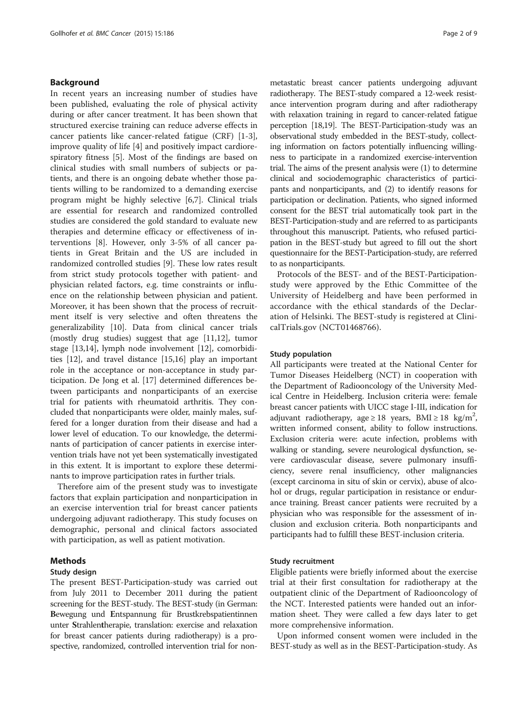## Background

In recent years an increasing number of studies have been published, evaluating the role of physical activity during or after cancer treatment. It has been shown that structured exercise training can reduce adverse effects in cancer patients like cancer-related fatigue (CRF) [[1-3](#page-7-0)], improve quality of life [[4\]](#page-7-0) and positively impact cardiorespiratory fitness [\[5](#page-7-0)]. Most of the findings are based on clinical studies with small numbers of subjects or patients, and there is an ongoing debate whether those patients willing to be randomized to a demanding exercise program might be highly selective [\[6,7](#page-7-0)]. Clinical trials are essential for research and randomized controlled studies are considered the gold standard to evaluate new therapies and determine efficacy or effectiveness of interventions [[8\]](#page-7-0). However, only 3-5% of all cancer patients in Great Britain and the US are included in randomized controlled studies [\[9](#page-7-0)]. These low rates result from strict study protocols together with patient- and physician related factors, e.g. time constraints or influence on the relationship between physician and patient. Moreover, it has been shown that the process of recruitment itself is very selective and often threatens the generalizability [[10\]](#page-7-0). Data from clinical cancer trials (mostly drug studies) suggest that age [[11](#page-7-0),[12](#page-7-0)], tumor stage [\[13,14\]](#page-8-0), lymph node involvement [[12\]](#page-7-0), comorbidities [\[12\]](#page-7-0), and travel distance [\[15,16\]](#page-8-0) play an important role in the acceptance or non-acceptance in study participation. De Jong et al. [[17\]](#page-8-0) determined differences between participants and nonparticipants of an exercise trial for patients with rheumatoid arthritis. They concluded that nonparticipants were older, mainly males, suffered for a longer duration from their disease and had a lower level of education. To our knowledge, the determinants of participation of cancer patients in exercise intervention trials have not yet been systematically investigated in this extent. It is important to explore these determinants to improve participation rates in further trials.

Therefore aim of the present study was to investigate factors that explain participation and nonparticipation in an exercise intervention trial for breast cancer patients undergoing adjuvant radiotherapy. This study focuses on demographic, personal and clinical factors associated with participation, as well as patient motivation.

## Methods

## Study design

The present BEST-Participation-study was carried out from July 2011 to December 2011 during the patient screening for the BEST-study. The BEST-study (in German: Bewegung und Entspannung für Brustkrebspatientinnen unter Strahlentherapie, translation: exercise and relaxation for breast cancer patients during radiotherapy) is a prospective, randomized, controlled intervention trial for non-

metastatic breast cancer patients undergoing adjuvant radiotherapy. The BEST-study compared a 12-week resistance intervention program during and after radiotherapy with relaxation training in regard to cancer-related fatigue perception [\[18,19](#page-8-0)]. The BEST-Participation-study was an observational study embedded in the BEST-study, collecting information on factors potentially influencing willingness to participate in a randomized exercise-intervention trial. The aims of the present analysis were (1) to determine clinical and sociodemographic characteristics of participants and nonparticipants, and (2) to identify reasons for participation or declination. Patients, who signed informed consent for the BEST trial automatically took part in the BEST-Participation-study and are referred to as participants throughout this manuscript. Patients, who refused participation in the BEST-study but agreed to fill out the short questionnaire for the BEST-Participation-study, are referred to as nonparticipants.

Protocols of the BEST- and of the BEST-Participationstudy were approved by the Ethic Committee of the University of Heidelberg and have been performed in accordance with the ethical standards of the Declaration of Helsinki. The BEST-study is registered at ClinicalTrials.gov (NCT01468766).

## Study population

All participants were treated at the National Center for Tumor Diseases Heidelberg (NCT) in cooperation with the Department of Radiooncology of the University Medical Centre in Heidelberg. Inclusion criteria were: female breast cancer patients with UICC stage I-III, indication for adjuvant radiotherapy, age  $\geq 18$  years, BMI  $\geq 18$  kg/m<sup>2</sup>, written informed consent, ability to follow instructions. Exclusion criteria were: acute infection, problems with walking or standing, severe neurological dysfunction, severe cardiovascular disease, severe pulmonary insufficiency, severe renal insufficiency, other malignancies (except carcinoma in situ of skin or cervix), abuse of alcohol or drugs, regular participation in resistance or endurance training. Breast cancer patients were recruited by a physician who was responsible for the assessment of inclusion and exclusion criteria. Both nonparticipants and participants had to fulfill these BEST-inclusion criteria.

## Study recruitment

Eligible patients were briefly informed about the exercise trial at their first consultation for radiotherapy at the outpatient clinic of the Department of Radiooncology of the NCT. Interested patients were handed out an information sheet. They were called a few days later to get more comprehensive information.

Upon informed consent women were included in the BEST-study as well as in the BEST-Participation-study. As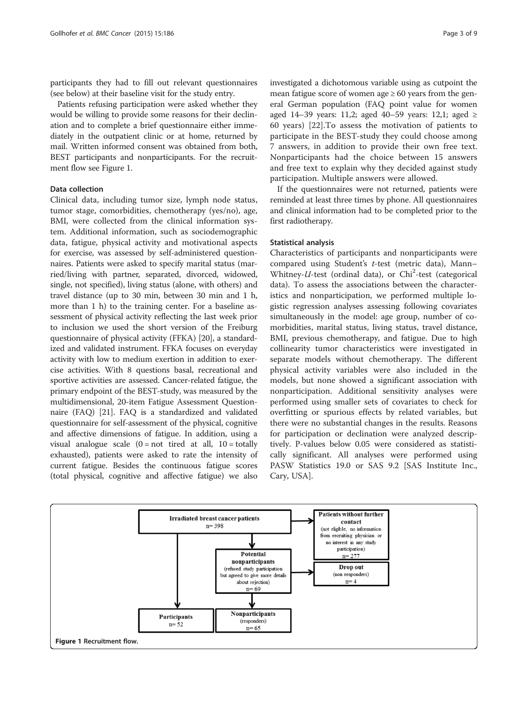<span id="page-2-0"></span>participants they had to fill out relevant questionnaires (see below) at their baseline visit for the study entry.

Patients refusing participation were asked whether they would be willing to provide some reasons for their declination and to complete a brief questionnaire either immediately in the outpatient clinic or at home, returned by mail. Written informed consent was obtained from both, BEST participants and nonparticipants. For the recruitment flow see Figure 1.

## Data collection

Clinical data, including tumor size, lymph node status, tumor stage, comorbidities, chemotherapy (yes/no), age, BMI, were collected from the clinical information system. Additional information, such as sociodemographic data, fatigue, physical activity and motivational aspects for exercise, was assessed by self-administered questionnaires. Patients were asked to specify marital status (married/living with partner, separated, divorced, widowed, single, not specified), living status (alone, with others) and travel distance (up to 30 min, between 30 min and 1 h, more than 1 h) to the training center. For a baseline assessment of physical activity reflecting the last week prior to inclusion we used the short version of the Freiburg questionnaire of physical activity (FFKA) [\[20\]](#page-8-0), a standardized and validated instrument. FFKA focuses on everyday activity with low to medium exertion in addition to exercise activities. With 8 questions basal, recreational and sportive activities are assessed. Cancer-related fatigue, the primary endpoint of the BEST-study, was measured by the multidimensional, 20-item Fatigue Assessment Questionnaire (FAQ) [\[21\]](#page-8-0). FAQ is a standardized and validated questionnaire for self-assessment of the physical, cognitive and affective dimensions of fatigue. In addition, using a visual analogue scale  $(0 = not$  tired at all,  $10 = totally$ exhausted), patients were asked to rate the intensity of current fatigue. Besides the continuous fatigue scores (total physical, cognitive and affective fatigue) we also investigated a dichotomous variable using as cutpoint the mean fatigue score of women age  $\geq 60$  years from the general German population (FAQ point value for women aged 14–39 years: 11,2; aged 40–59 years: 12,1; aged  $\ge$ 60 years) [\[22](#page-8-0)].To assess the motivation of patients to participate in the BEST-study they could choose among 7 answers, in addition to provide their own free text. Nonparticipants had the choice between 15 answers and free text to explain why they decided against study participation. Multiple answers were allowed.

If the questionnaires were not returned, patients were reminded at least three times by phone. All questionnaires and clinical information had to be completed prior to the first radiotherapy.

## Statistical analysis

Characteristics of participants and nonparticipants were compared using Student's t-test (metric data), Mann– Whitney-U-test (ordinal data), or Chi<sup>2</sup>-test (categorical data). To assess the associations between the characteristics and nonparticipation, we performed multiple logistic regression analyses assessing following covariates simultaneously in the model: age group, number of comorbidities, marital status, living status, travel distance, BMI, previous chemotherapy, and fatigue. Due to high collinearity tumor characteristics were investigated in separate models without chemotherapy. The different physical activity variables were also included in the models, but none showed a significant association with nonparticipation. Additional sensitivity analyses were performed using smaller sets of covariates to check for overfitting or spurious effects by related variables, but there were no substantial changes in the results. Reasons for participation or declination were analyzed descriptively. P-values below 0.05 were considered as statistically significant. All analyses were performed using PASW Statistics 19.0 or SAS 9.2 [SAS Institute Inc., Cary, USA].

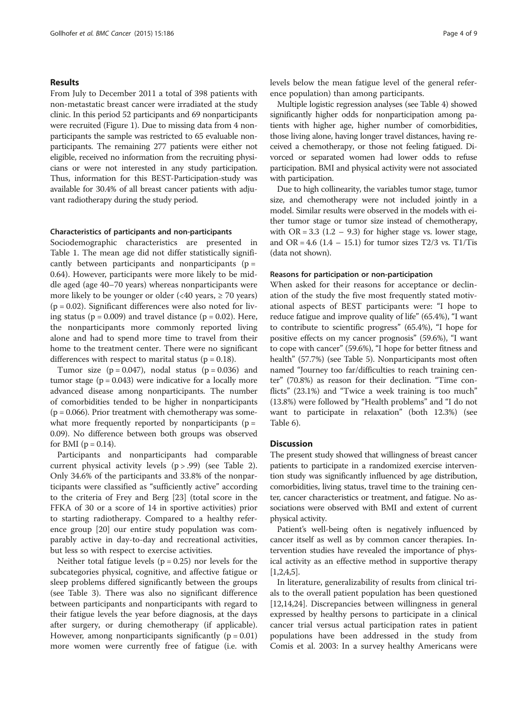## Results

From July to December 2011 a total of 398 patients with non-metastatic breast cancer were irradiated at the study clinic. In this period 52 participants and 69 nonparticipants were recruited (Figure [1\)](#page-2-0). Due to missing data from 4 nonparticipants the sample was restricted to 65 evaluable nonparticipants. The remaining 277 patients were either not eligible, received no information from the recruiting physicians or were not interested in any study participation. Thus, information for this BEST-Participation-study was available for 30.4% of all breast cancer patients with adjuvant radiotherapy during the study period.

## Characteristics of participants and non-participants

Sociodemographic characteristics are presented in Table [1](#page-4-0). The mean age did not differ statistically significantly between participants and nonparticipants ( $p =$ 0.64). However, participants were more likely to be middle aged (age 40–70 years) whereas nonparticipants were more likely to be younger or older  $\langle$  <40 years,  $\geq$  70 years)  $(p = 0.02)$ . Significant differences were also noted for living status ( $p = 0.009$ ) and travel distance ( $p = 0.02$ ). Here, the nonparticipants more commonly reported living alone and had to spend more time to travel from their home to the treatment center. There were no significant differences with respect to marital status ( $p = 0.18$ ).

Tumor size  $(p = 0.047)$ , nodal status  $(p = 0.036)$  and tumor stage  $(p = 0.043)$  were indicative for a locally more advanced disease among nonparticipants. The number of comorbidities tended to be higher in nonparticipants  $(p = 0.066)$ . Prior treatment with chemotherapy was somewhat more frequently reported by nonparticipants ( $p =$ 0.09). No difference between both groups was observed for BMI ( $p = 0.14$ ).

Participants and nonparticipants had comparable current physical activity levels  $(p > .99)$  (see Table [2](#page-5-0)). Only 34.6% of the participants and 33.8% of the nonparticipants were classified as "sufficiently active" according to the criteria of Frey and Berg [[23](#page-8-0)] (total score in the FFKA of 30 or a score of 14 in sportive activities) prior to starting radiotherapy. Compared to a healthy reference group [\[20](#page-8-0)] our entire study population was comparably active in day-to-day and recreational activities, but less so with respect to exercise activities.

Neither total fatigue levels ( $p = 0.25$ ) nor levels for the subcategories physical, cognitive, and affective fatigue or sleep problems differed significantly between the groups (see Table [3\)](#page-5-0). There was also no significant difference between participants and nonparticipants with regard to their fatigue levels the year before diagnosis, at the days after surgery, or during chemotherapy (if applicable). However, among nonparticipants significantly ( $p = 0.01$ ) more women were currently free of fatigue (i.e. with levels below the mean fatigue level of the general reference population) than among participants.

Multiple logistic regression analyses (see Table [4\)](#page-6-0) showed significantly higher odds for nonparticipation among patients with higher age, higher number of comorbidities, those living alone, having longer travel distances, having received a chemotherapy, or those not feeling fatigued. Divorced or separated women had lower odds to refuse participation. BMI and physical activity were not associated with participation.

Due to high collinearity, the variables tumor stage, tumor size, and chemotherapy were not included jointly in a model. Similar results were observed in the models with either tumor stage or tumor size instead of chemotherapy, with  $OR = 3.3$  (1.2 – 9.3) for higher stage vs. lower stage, and OR = 4.6 (1.4 – 15.1) for tumor sizes T2/3 vs. T1/Tis (data not shown).

## Reasons for participation or non-participation

When asked for their reasons for acceptance or declination of the study the five most frequently stated motivational aspects of BEST participants were: "I hope to reduce fatigue and improve quality of life" (65.4%), "I want to contribute to scientific progress" (65.4%), "I hope for positive effects on my cancer prognosis" (59.6%), "I want to cope with cancer" (59.6%), "I hope for better fitness and health" (57.7%) (see Table [5\)](#page-6-0). Nonparticipants most often named "Journey too far/difficulties to reach training center" (70.8%) as reason for their declination. "Time conflicts" (23.1%) and "Twice a week training is too much" (13.8%) were followed by "Health problems" and "I do not want to participate in relaxation" (both 12.3%) (see Table [6\)](#page-6-0).

## **Discussion**

The present study showed that willingness of breast cancer patients to participate in a randomized exercise intervention study was significantly influenced by age distribution, comorbidities, living status, travel time to the training center, cancer characteristics or treatment, and fatigue. No associations were observed with BMI and extent of current physical activity.

Patient's well-being often is negatively influenced by cancer itself as well as by common cancer therapies. Intervention studies have revealed the importance of physical activity as an effective method in supportive therapy  $[1,2,4,5]$  $[1,2,4,5]$  $[1,2,4,5]$ .

In literature, generalizability of results from clinical trials to the overall patient population has been questioned [[12,](#page-7-0)[14,24\]](#page-8-0). Discrepancies between willingness in general expressed by healthy persons to participate in a clinical cancer trial versus actual participation rates in patient populations have been addressed in the study from Comis et al. 2003: In a survey healthy Americans were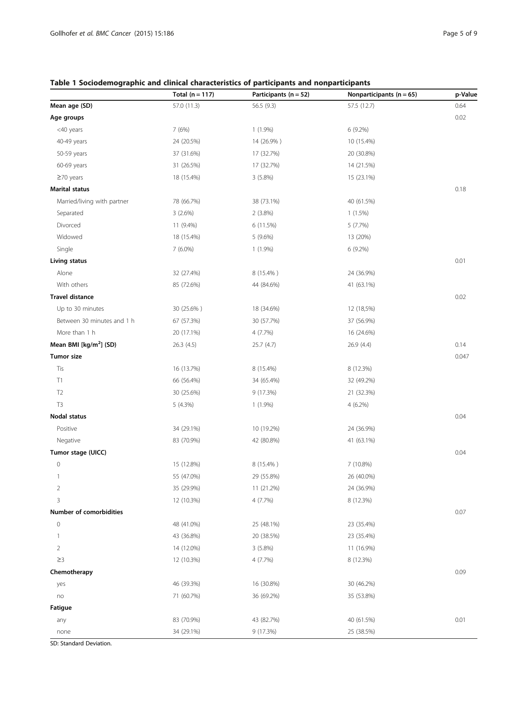## <span id="page-4-0"></span>Table 1 Sociodemographic and clinical characteristics of participants and nonparticipants

|                                    | Total ( $n = 117$ ) | Participants ( $n = 52$ ) | Nonparticipants ( $n = 65$ ) | p-Value |
|------------------------------------|---------------------|---------------------------|------------------------------|---------|
| Mean age (SD)                      | 57.0 (11.3)         | 56.5 (9.3)                | 57.5 (12.7)                  | 0.64    |
| Age groups                         |                     |                           |                              | 0.02    |
| <40 years                          | 7 (6%)              | $1(1.9\%)$                | 6 (9.2%)                     |         |
| 40-49 years                        | 24 (20.5%)          | 14 (26.9%)                | 10 (15.4%)                   |         |
| 50-59 years                        | 37 (31.6%)          | 17 (32.7%)                | 20 (30.8%)                   |         |
| 60-69 years                        | 31 (26.5%)          | 17 (32.7%)                | 14 (21.5%)                   |         |
| $\geq$ 70 years                    | 18 (15.4%)          | 3(5.8%)                   | 15 (23.1%)                   |         |
| <b>Marital status</b>              |                     |                           |                              | 0.18    |
| Married/living with partner        | 78 (66.7%)          | 38 (73.1%)                | 40 (61.5%)                   |         |
| Separated                          | 3(2.6%)             | $2(3.8\%)$                | 1(1.5%)                      |         |
| Divorced                           | 11 (9.4%)           | 6 (11.5%)                 | 5(7.7%)                      |         |
| Widowed                            | 18 (15.4%)          | 5(9.6%)                   | 13 (20%)                     |         |
| Single                             | $7(6.0\%)$          | $1(1.9\%)$                | 6 (9.2%)                     |         |
| Living status                      |                     |                           |                              | 0.01    |
| Alone                              | 32 (27.4%)          | 8 (15.4%)                 | 24 (36.9%)                   |         |
| With others                        | 85 (72.6%)          | 44 (84.6%)                | 41 (63.1%)                   |         |
| <b>Travel distance</b>             |                     |                           |                              | 0.02    |
| Up to 30 minutes                   | 30 (25.6%)          | 18 (34.6%)                | 12 (18,5%)                   |         |
| Between 30 minutes and 1 h         | 67 (57.3%)          | 30 (57.7%)                | 37 (56.9%)                   |         |
| More than 1 h                      | 20 (17.1%)          | 4 (7.7%)                  | 16 (24.6%)                   |         |
| Mean BMI [kg/m <sup>2</sup> ] (SD) | 26.3 (4.5)          | 25.7(4.7)                 | 26.9 (4.4)                   | 0.14    |
| <b>Tumor size</b>                  |                     |                           |                              | 0.047   |
| Tis                                | 16 (13.7%)          | 8 (15.4%)                 | 8 (12.3%)                    |         |
| T1                                 | 66 (56.4%)          | 34 (65.4%)                | 32 (49.2%)                   |         |
| T <sub>2</sub>                     | 30 (25.6%)          | 9 (17.3%)                 | 21 (32.3%)                   |         |
| T3                                 | 5(4.3%)             | $1(1.9\%)$                | $4(6.2\%)$                   |         |
| Nodal status                       |                     |                           |                              | 0.04    |
| Positive                           | 34 (29.1%)          | 10 (19.2%)                | 24 (36.9%)                   |         |
| Negative                           | 83 (70.9%)          | 42 (80.8%)                | 41 (63.1%)                   |         |
| Tumor stage (UICC)                 |                     |                           |                              | 0.04    |
| $\circ$                            | 15 (12.8%)          | 8 (15.4%)                 | 7 (10.8%)                    |         |
| 1                                  | 55 (47.0%)          | 29 (55.8%)                | 26 (40.0%)                   |         |
| $\overline{2}$                     | 35 (29.9%)          | 11 (21.2%)                | 24 (36.9%)                   |         |
| $\mathsf 3$                        | 12 (10.3%)          | 4 (7.7%)                  | 8 (12.3%)                    |         |
| Number of comorbidities            |                     |                           |                              | 0.07    |
| $\mathbb O$                        | 48 (41.0%)          | 25 (48.1%)                | 23 (35.4%)                   |         |
| 1                                  | 43 (36.8%)          | 20 (38.5%)                | 23 (35.4%)                   |         |
| $\overline{2}$                     | 14 (12.0%)          | 3(5.8%)                   | 11 (16.9%)                   |         |
| $\geq$ 3                           | 12 (10.3%)          | 4(7.7%)                   | 8 (12.3%)                    |         |
| Chemotherapy                       |                     |                           |                              | 0.09    |
| yes                                | 46 (39.3%)          | 16 (30.8%)                | 30 (46.2%)                   |         |
| no                                 | 71 (60.7%)          | 36 (69.2%)                | 35 (53.8%)                   |         |
| Fatigue                            |                     |                           |                              |         |
| any                                | 83 (70.9%)          | 43 (82.7%)                | 40 (61.5%)                   | 0.01    |
| none                               | 34 (29.1%)          | 9 (17.3%)                 | 25 (38.5%)                   |         |

SD: Standard Deviation.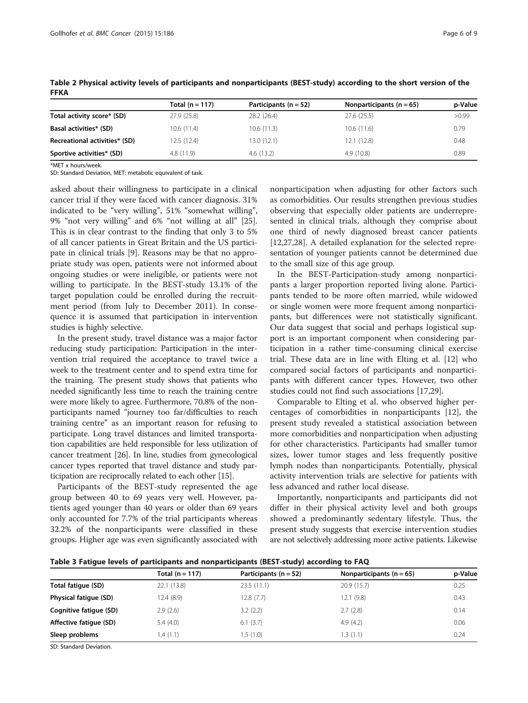|                               | Total $(n = 117)$ | Participants ( $n = 52$ ) | Nonparticipants ( $n = 65$ ) | p-Value |
|-------------------------------|-------------------|---------------------------|------------------------------|---------|
| Total activity score* (SD)    | 27.9(25.8)        | 28.2 (26.4)               | 27.6 (25.5)                  | >0.99   |
| Basal activities* (SD)        | 10.6(11.4)        | 10.6(11.3)                | 10.6(11.6)                   | 0.79    |
| Recreational activities* (SD) | 12.5(12.4)        | 13.0 (12.1)               | 12.1 (12.8)                  | 0.48    |
| Sportive activities* (SD)     | 4.8(11.9)         | 4.6(13.2)                 | 4.9(10.8)                    | 0.89    |

<span id="page-5-0"></span>Table 2 Physical activity levels of participants and nonparticipants (BEST-study) according to the short version of the FFKA

\*MET x hours/week.

SD: Standard Deviation, MET: metabolic equivalent of task.

asked about their willingness to participate in a clinical cancer trial if they were faced with cancer diagnosis. 31% indicated to be "very willing", 51% "somewhat willing", 9% "not very willing" and 6% "not willing at all" [\[25](#page-8-0)]. This is in clear contrast to the finding that only 3 to 5% of all cancer patients in Great Britain and the US participate in clinical trials [\[9](#page-7-0)]. Reasons may be that no appropriate study was open, patients were not informed about ongoing studies or were ineligible, or patients were not willing to participate. In the BEST-study 13.1% of the target population could be enrolled during the recruitment period (from July to December 2011). In consequence it is assumed that participation in intervention studies is highly selective.

In the present study, travel distance was a major factor reducing study participation: Participation in the intervention trial required the acceptance to travel twice a week to the treatment center and to spend extra time for the training. The present study shows that patients who needed significantly less time to reach the training centre were more likely to agree. Furthermore, 70.8% of the nonparticipants named "journey too far/difficulties to reach training centre" as an important reason for refusing to participate. Long travel distances and limited transportation capabilities are held responsible for less utilization of cancer treatment [\[26\]](#page-8-0). In line, studies from gynecological cancer types reported that travel distance and study participation are reciprocally related to each other [\[15\]](#page-8-0).

Participants of the BEST-study represented the age group between 40 to 69 years very well. However, patients aged younger than 40 years or older than 69 years only accounted for 7.7% of the trial participants whereas 32.2% of the nonparticipants were classified in these groups. Higher age was even significantly associated with

nonparticipation when adjusting for other factors such as comorbidities. Our results strengthen previous studies observing that especially older patients are underrepresented in clinical trials, although they comprise about one third of newly diagnosed breast cancer patients [[12,](#page-7-0)[27,28\]](#page-8-0). A detailed explanation for the selected representation of younger patients cannot be determined due to the small size of this age group.

In the BEST-Participation-study among nonparticipants a larger proportion reported living alone. Participants tended to be more often married, while widowed or single women were more frequent among nonparticipants, but differences were not statistically significant. Our data suggest that social and perhaps logistical support is an important component when considering participation in a rather time-consuming clinical exercise trial. These data are in line with Elting et al. [\[12\]](#page-7-0) who compared social factors of participants and nonparticipants with different cancer types. However, two other studies could not find such associations [\[17,29](#page-8-0)].

Comparable to Elting et al. who observed higher percentages of comorbidities in nonparticipants [\[12\]](#page-7-0), the present study revealed a statistical association between more comorbidities and nonparticipation when adjusting for other characteristics. Participants had smaller tumor sizes, lower tumor stages and less frequently positive lymph nodes than nonparticipants. Potentially, physical activity intervention trials are selective for patients with less advanced and rather local disease.

Importantly, nonparticipants and participants did not differ in their physical activity level and both groups showed a predominantly sedentary lifestyle. Thus, the present study suggests that exercise intervention studies are not selectively addressing more active patients. Likewise

Table 3 Fatigue levels of participants and nonparticipants (BEST-study) according to FAQ

|                        | Total $(n = 117)$ | Participants ( $n = 52$ ) | Nonparticipants $(n = 65)$ | p-Value |
|------------------------|-------------------|---------------------------|----------------------------|---------|
| Total fatique (SD)     | 22.1 (13.8)       | 23.5(11.1)                | 20.9 (15.7)                | 0.25    |
| Physical fatique (SD)  | 12.4(8.9)         | 12.8(7.7)                 | 12.1(9.8)                  | 0.43    |
| Cognitive fatique (SD) | 2.9(2.6)          | 3.2(2.2)                  | 2.7(2.8)                   | 0.14    |
| Affective fatique (SD) | 5.4(4.0)          | 6.1(3.7)                  | 4.9(4.2)                   | 0.06    |
| Sleep problems         | 1.4(1.1)          | 1.5 (1.0)                 | 1.3(1.1)                   | 0.24    |
|                        |                   |                           |                            |         |

SD: Standard Deviation.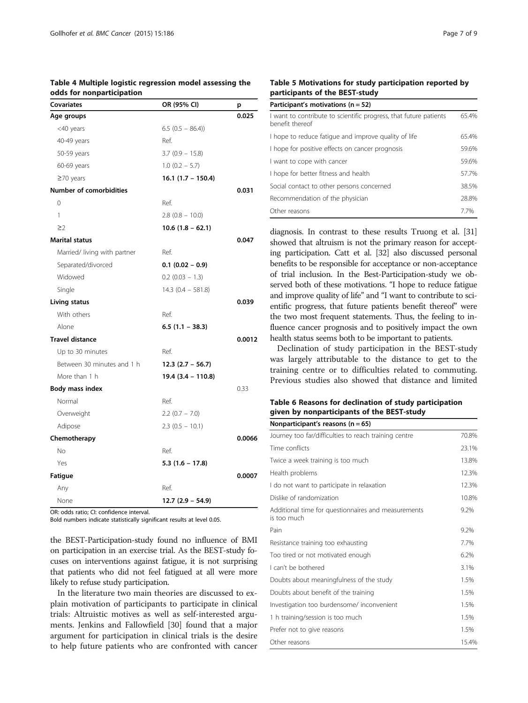## <span id="page-6-0"></span>Table 4 Multiple logistic regression model assessing the odds for nonparticipation

| Covariates                   | OR (95% CI)          | p      |
|------------------------------|----------------------|--------|
| Age groups                   |                      | 0.025  |
| <40 years                    | $6.5(0.5 - 86.4)$    |        |
| 40-49 years                  | Ref.                 |        |
| 50-59 years                  | $3.7(0.9 - 15.8)$    |        |
| 60-69 years                  | $1.0$ (0.2 - 5.7)    |        |
| $\geq$ 70 years              | 16.1 (1.7 – 150.4)   |        |
| Number of comorbidities      |                      | 0.031  |
| $\Omega$                     | Ref.                 |        |
| 1                            | $2.8$ (0.8 - 10.0)   |        |
| $\geq$ 2                     | $10.6$ (1.8 – 62.1)  |        |
| <b>Marital status</b>        |                      | 0.047  |
| Married/ living with partner | Ref.                 |        |
| Separated/divorced           | $0.1$ (0.02 - 0.9)   |        |
| Widowed                      | $0.2$ (0.03 $-1.3$ ) |        |
| Single                       | $14.3$ (0.4 - 581.8) |        |
| Living status                |                      | 0.039  |
| With others                  | Ref.                 |        |
| Alone                        | $6.5(1.1 - 38.3)$    |        |
| <b>Travel distance</b>       |                      | 0.0012 |
| Up to 30 minutes             | Ref.                 |        |
| Between 30 minutes and 1 h   | $12.3(2.7 - 56.7)$   |        |
| More than 1 h                | 19.4 (3.4 – 110.8)   |        |
| Body mass index              |                      | 0.33   |
| Normal                       | Ref.                 |        |
| Overweight                   | $2.2$ (0.7 - 7.0)    |        |
| Adipose                      | $2.3(0.5 - 10.1)$    |        |
| Chemotherapy                 |                      | 0.0066 |
| No                           | Ref.                 |        |
| Yes                          | $5.3(1.6 - 17.8)$    |        |
| Fatigue                      |                      | 0.0007 |
| Any                          | Ref.                 |        |
| None                         | $12.7(2.9 - 54.9)$   |        |

OR: odds ratio; CI: confidence interval.

Bold numbers indicate statistically significant results at level 0.05.

the BEST-Participation-study found no influence of BMI on participation in an exercise trial. As the BEST-study focuses on interventions against fatigue, it is not surprising that patients who did not feel fatigued at all were more likely to refuse study participation.

In the literature two main theories are discussed to explain motivation of participants to participate in clinical trials: Altruistic motives as well as self-interested arguments. Jenkins and Fallowfield [\[30](#page-8-0)] found that a major argument for participation in clinical trials is the desire to help future patients who are confronted with cancer

## Table 5 Motivations for study participation reported by participants of the BEST-study

| Participant's motivations ( $n = 52$ )                                               |       |  |  |
|--------------------------------------------------------------------------------------|-------|--|--|
| I want to contribute to scientific progress, that future patients<br>benefit thereof | 65.4% |  |  |
| I hope to reduce fatique and improve quality of life                                 | 65.4% |  |  |
| I hope for positive effects on cancer prognosis                                      | 59.6% |  |  |
| I want to cope with cancer                                                           | 59.6% |  |  |
| I hope for better fitness and health                                                 | 57.7% |  |  |
| Social contact to other persons concerned                                            | 38.5% |  |  |
| Recommendation of the physician                                                      | 28.8% |  |  |
| Other reasons                                                                        | 77%   |  |  |

diagnosis. In contrast to these results Truong et al. [\[31](#page-8-0)] showed that altruism is not the primary reason for accepting participation. Catt et al. [\[32](#page-8-0)] also discussed personal benefits to be responsible for acceptance or non-acceptance of trial inclusion. In the Best-Participation-study we observed both of these motivations. "I hope to reduce fatigue and improve quality of life" and "I want to contribute to scientific progress, that future patients benefit thereof" were the two most frequent statements. Thus, the feeling to influence cancer prognosis and to positively impact the own health status seems both to be important to patients.

Declination of study participation in the BEST-study was largely attributable to the distance to get to the training centre or to difficulties related to commuting. Previous studies also showed that distance and limited

## Table 6 Reasons for declination of study participation given by nonparticipants of the BEST-study

| Nonparticipant's reasons ( $n = 65$ )                              |       |
|--------------------------------------------------------------------|-------|
| Journey too far/difficulties to reach training centre              | 70.8% |
| Time conflicts                                                     | 23.1% |
| Twice a week training is too much                                  | 13.8% |
| Health problems                                                    | 12.3% |
| I do not want to participate in relaxation                         | 12.3% |
| Dislike of randomization                                           | 10.8% |
| Additional time for questionnaires and measurements<br>is too much | 9.2%  |
| Pain                                                               | 9.2%  |
| Resistance training too exhausting                                 | 7.7%  |
| Too tired or not motivated enough                                  | 6.2%  |
| I can't be bothered                                                | 3.1%  |
| Doubts about meaningfulness of the study                           | 1.5%  |
| Doubts about benefit of the training                               | 1.5%  |
| Investigation too burdensome/ inconvenient                         | 1.5%  |
| 1 h training/session is too much                                   | 1.5%  |
| Prefer not to give reasons                                         | 1.5%  |
| Other reasons                                                      | 15.4% |
|                                                                    |       |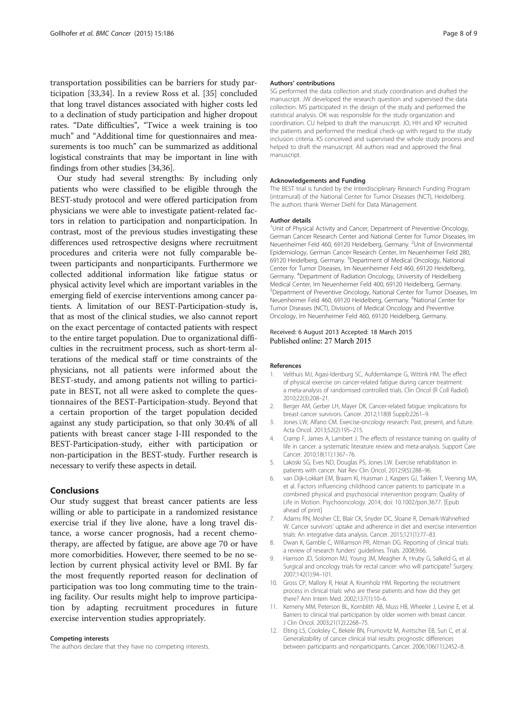<span id="page-7-0"></span>transportation possibilities can be barriers for study participation [[33,34\]](#page-8-0). In a review Ross et al. [\[35\]](#page-8-0) concluded that long travel distances associated with higher costs led to a declination of study participation and higher dropout rates. "Date difficulties", "Twice a week training is too much" and "Additional time for questionnaires and measurements is too much" can be summarized as additional logistical constraints that may be important in line with findings from other studies [\[34,36\]](#page-8-0).

Our study had several strengths: By including only patients who were classified to be eligible through the BEST-study protocol and were offered participation from physicians we were able to investigate patient-related factors in relation to participation and nonparticipation. In contrast, most of the previous studies investigating these differences used retrospective designs where recruitment procedures and criteria were not fully comparable between participants and nonparticipants. Furthermore we collected additional information like fatigue status or physical activity level which are important variables in the emerging field of exercise interventions among cancer patients. A limitation of our BEST-Participation-study is, that as most of the clinical studies, we also cannot report on the exact percentage of contacted patients with respect to the entire target population. Due to organizational difficulties in the recruitment process, such as short-term alterations of the medical staff or time constraints of the physicians, not all patients were informed about the BEST-study, and among patients not willing to participate in BEST, not all were asked to complete the questionnaires of the BEST-Participation-study. Beyond that a certain proportion of the target population decided against any study participation, so that only 30.4% of all patients with breast cancer stage I-III responded to the BEST-Participation-study, either with participation or non-participation in the BEST-study. Further research is necessary to verify these aspects in detail.

## Conclusions

Our study suggest that breast cancer patients are less willing or able to participate in a randomized resistance exercise trial if they live alone, have a long travel distance, a worse cancer prognosis, had a recent chemotherapy, are affected by fatigue, are above age 70 or have more comorbidities. However, there seemed to be no selection by current physical activity level or BMI. By far the most frequently reported reason for declination of participation was too long commuting time to the training facility. Our results might help to improve participation by adapting recruitment procedures in future exercise intervention studies appropriately.

## Competing interests

The authors declare that they have no competing interests.

### Authors' contributions

SG performed the data collection and study coordination and drafted the manuscript. JW developed the research question and supervised the data collection. MS participated in the design of the study and performed the statistical analysis. OK was responsible for the study organization and coordination. CU helped to draft the manuscript. JO, HH and KP recruited the patients and performed the medical check-up with regard to the study inclusion criteria. KS conceived and supervised the whole study process and helped to draft the manuscript. All authors read and approved the final manuscript.

#### Acknowledgements and Funding

The BEST trial is funded by the Interdisciplinary Research Funding Program (intramural) of the National Center for Tumor Diseases (NCT), Heidelberg. The authors thank Werner Diehl for Data Management.

#### Author details

<sup>1</sup>Unit of Physical Activity and Cancer, Department of Preventive Oncology German Cancer Research Center and National Center for Tumor Diseases, Im Neuenheimer Feld 460, 69120 Heidelberg, Germany. <sup>2</sup>Unit of Environmental Epidemiology, German Cancer Research Center, Im Neuenheimer Feld 280, 69120 Heidelberg, Germany. <sup>3</sup>Department of Medical Oncology, National Center for Tumor Diseases, Im Neuenheimer Feld 460, 69120 Heidelberg, Germany. <sup>4</sup> Department of Radiation Oncology, University of Heidelberg Medical Center, Im Neuenheimer Feld 400, 69120 Heidelberg, Germany. 5 Department of Preventive Oncology, National Center for Tumor Diseases, Im Neuenheimer Feld 460, 69120 Heidelberg, Germany. <sup>6</sup>National Center for Tumor Diseases (NCT), Divisions of Medical Oncology and Preventive Oncology, Im Neuenheimer Feld 460, 69120 Heidelberg, Germany.

## Received: 6 August 2013 Accepted: 18 March 2015 Published online: 27 March 2015

#### References

- Velthuis MJ, Agasi-Idenburg SC, Aufdemkampe G, Wittink HM. The effect of physical exercise on cancer-related fatigue during cancer treatment: a meta-analysis of randomised controlled trials. Clin Oncol (R Coll Radiol). 2010;22(3):208–21.
- 2. Berger AM, Gerber LH, Mayer DK. Cancer-related fatigue: implications for breast cancer survivors. Cancer. 2012;118(8 Suppl):2261–9.
- 3. Jones LW, Alfano CM. Exercise-oncology research: Past, present, and future. Acta Oncol. 2013;52(2):195–215.
- 4. Cramp F, James A, Lambert J. The effects of resistance training on quality of life in cancer: a systematic literature review and meta-analysis. Support Care Cancer. 2010;18(11):1367–76.
- 5. Lakoski SG, Eves ND, Douglas PS, Jones LW. Exercise rehabilitation in patients with cancer. Nat Rev Clin Oncol. 2012;9(5):288–96.
- 6. van Dijk-Lokkart EM, Braam KI, Huisman J, Kaspers GJ, Takken T, Veening MA, et al. Factors influencing childhood cancer patients to participate in a combined physical and psychosocial intervention program: Quality of Life in Motion. Psychooncology. 2014; doi: 10.1002/pon.3677. [Epub ahead of print]
- 7. Adams RN, Mosher CE, Blair CK, Snyder DC, Sloane R, Demark-Wahnefried W. Cancer survivors' uptake and adherence in diet and exercise intervention trials: An integrative data analysis. Cancer. 2015;121(1):77–83.
- 8. Dwan K, Gamble C, Williamson PR, Altman DG. Reporting of clinical trials: a review of research funders' guidelines. Trials. 2008;9:66.
- 9. Harrison JD, Solomon MJ, Young JM, Meagher A, Hruby G, Salkeld G, et al. Surgical and oncology trials for rectal cancer: who will participate? Surgery. 2007;142(1):94–101.
- 10. Gross CP, Mallory R, Heiat A, Krumholz HM. Reporting the recruitment process in clinical trials: who are these patients and how did they get there? Ann Intern Med. 2002;137(1):10–6.
- 11. Kemeny MM, Peterson BL, Kornblith AB, Muss HB, Wheeler J, Levine E, et al. Barriers to clinical trial participation by older women with breast cancer. J Clin Oncol. 2003;21(12):2268–75.
- 12. Elting LS, Cooksley C, Bekele BN, Frumovitz M, Avritscher EB, Sun C, et al. Generalizability of cancer clinical trial results: prognostic differences between participants and nonparticipants. Cancer. 2006;106(11):2452–8.